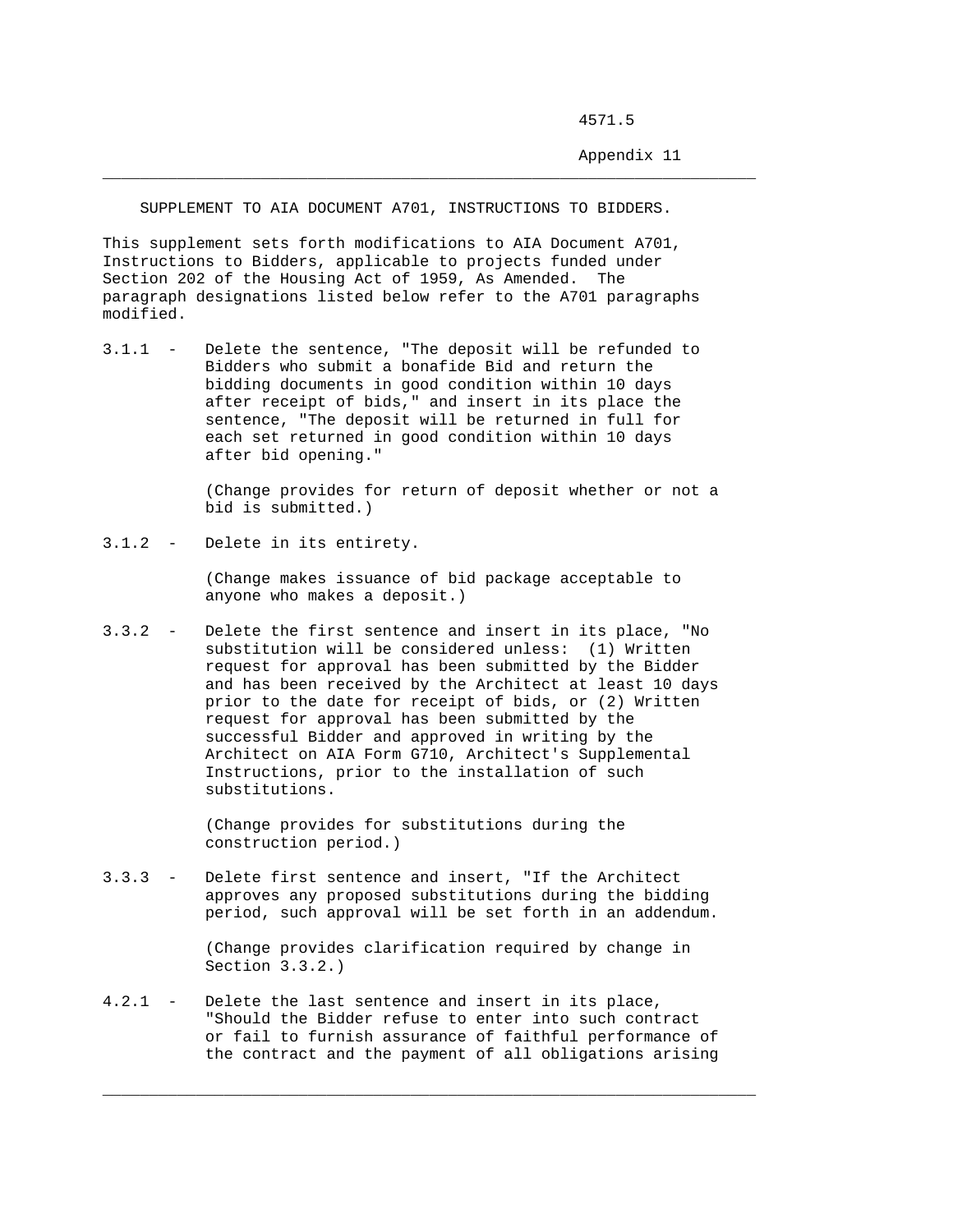4571.5

Appendix 11

SUPPLEMENT TO AIA DOCUMENT A701, INSTRUCTIONS TO BIDDERS.

\_\_\_\_\_\_\_\_\_\_\_\_\_\_\_\_\_\_\_\_\_\_\_\_\_\_\_\_\_\_\_\_\_\_\_\_\_\_\_\_\_\_\_\_\_\_\_\_\_\_\_\_\_\_\_\_\_\_\_\_\_\_\_\_\_\_\_\_\_\_

This supplement sets forth modifications to AIA Document A701, Instructions to Bidders, applicable to projects funded under Section 202 of the Housing Act of 1959, As Amended. The paragraph designations listed below refer to the A701 paragraphs modified.

3.1.1 - Delete the sentence, "The deposit will be refunded to Bidders who submit a bonafide Bid and return the bidding documents in good condition within 10 days after receipt of bids," and insert in its place the sentence, "The deposit will be returned in full for each set returned in good condition within 10 days after bid opening."

> (Change provides for return of deposit whether or not a bid is submitted.)

3.1.2 - Delete in its entirety.

 (Change makes issuance of bid package acceptable to anyone who makes a deposit.)

3.3.2 - Delete the first sentence and insert in its place, "No substitution will be considered unless: (1) Written request for approval has been submitted by the Bidder and has been received by the Architect at least 10 days prior to the date for receipt of bids, or (2) Written request for approval has been submitted by the successful Bidder and approved in writing by the Architect on AIA Form G710, Architect's Supplemental Instructions, prior to the installation of such substitutions.

> (Change provides for substitutions during the construction period.)

3.3.3 - Delete first sentence and insert, "If the Architect approves any proposed substitutions during the bidding period, such approval will be set forth in an addendum.

> (Change provides clarification required by change in Section 3.3.2.)

4.2.1 - Delete the last sentence and insert in its place, "Should the Bidder refuse to enter into such contract or fail to furnish assurance of faithful performance of the contract and the payment of all obligations arising

\_\_\_\_\_\_\_\_\_\_\_\_\_\_\_\_\_\_\_\_\_\_\_\_\_\_\_\_\_\_\_\_\_\_\_\_\_\_\_\_\_\_\_\_\_\_\_\_\_\_\_\_\_\_\_\_\_\_\_\_\_\_\_\_\_\_\_\_\_\_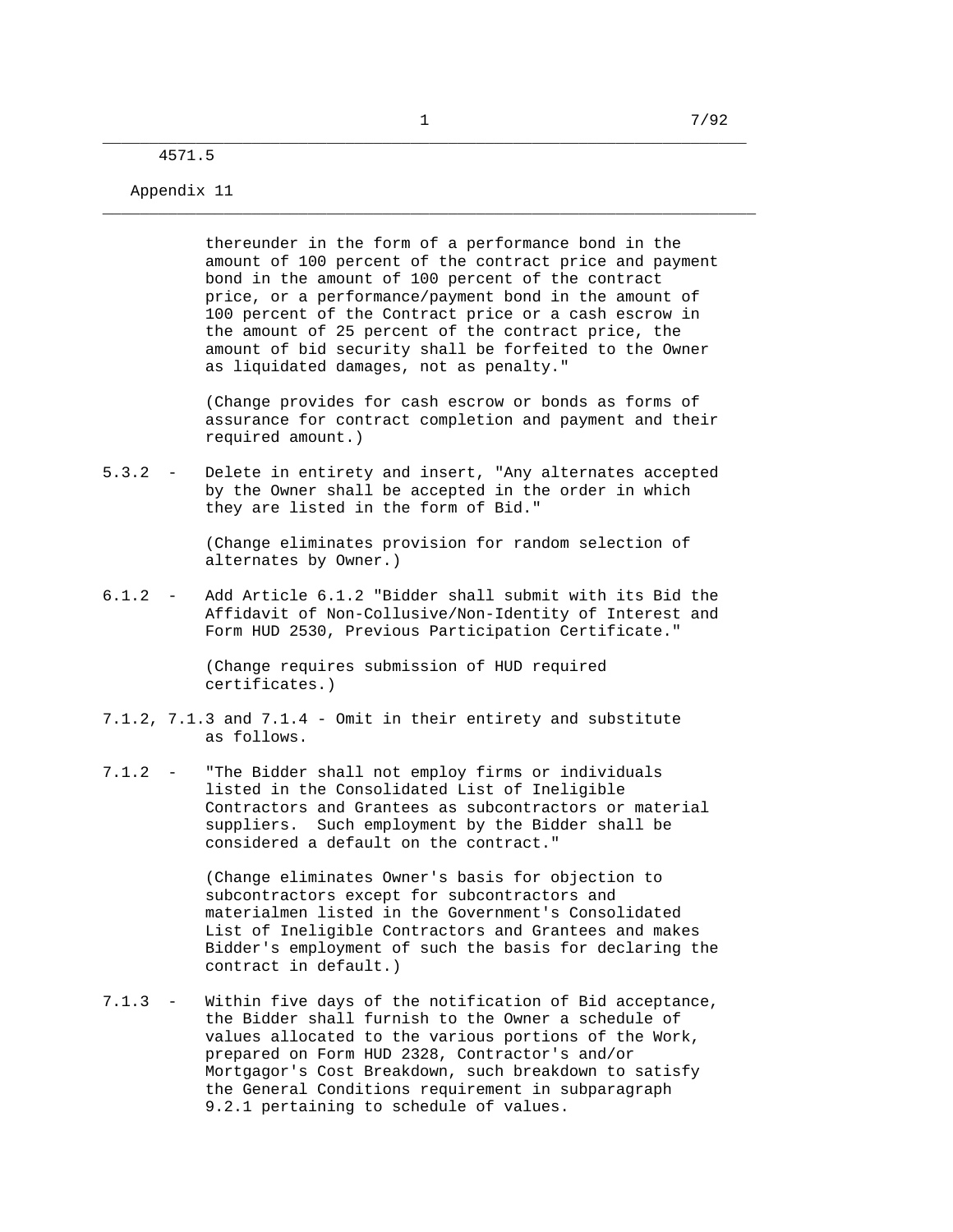\_\_\_\_\_\_\_\_\_\_\_\_\_\_\_\_\_\_\_\_\_\_\_\_\_\_\_\_\_\_\_\_\_\_\_\_\_\_\_\_\_\_\_\_\_\_\_\_\_\_\_\_\_\_\_\_\_\_\_\_\_\_\_\_\_\_\_\_\_\_

## \_\_\_\_\_\_\_\_\_\_\_\_\_\_\_\_\_\_\_\_\_\_\_\_\_\_\_\_\_\_\_\_\_\_\_\_\_\_\_\_\_\_\_\_\_\_\_\_\_\_\_\_\_\_\_\_\_\_\_\_\_\_\_\_\_\_\_\_\_ 4571.5

## Appendix 11

 thereunder in the form of a performance bond in the amount of 100 percent of the contract price and payment bond in the amount of 100 percent of the contract price, or a performance/payment bond in the amount of 100 percent of the Contract price or a cash escrow in the amount of 25 percent of the contract price, the amount of bid security shall be forfeited to the Owner as liquidated damages, not as penalty."

 (Change provides for cash escrow or bonds as forms of assurance for contract completion and payment and their required amount.)

5.3.2 - Delete in entirety and insert, "Any alternates accepted by the Owner shall be accepted in the order in which they are listed in the form of Bid."

> (Change eliminates provision for random selection of alternates by Owner.)

6.1.2 - Add Article 6.1.2 "Bidder shall submit with its Bid the Affidavit of Non-Collusive/Non-Identity of Interest and Form HUD 2530, Previous Participation Certificate."

> (Change requires submission of HUD required certificates.)

- 7.1.2, 7.1.3 and 7.1.4 Omit in their entirety and substitute as follows.
- 7.1.2 "The Bidder shall not employ firms or individuals listed in the Consolidated List of Ineligible Contractors and Grantees as subcontractors or material suppliers. Such employment by the Bidder shall be considered a default on the contract."

 (Change eliminates Owner's basis for objection to subcontractors except for subcontractors and materialmen listed in the Government's Consolidated List of Ineligible Contractors and Grantees and makes Bidder's employment of such the basis for declaring the contract in default.)

7.1.3 - Within five days of the notification of Bid acceptance, the Bidder shall furnish to the Owner a schedule of values allocated to the various portions of the Work, prepared on Form HUD 2328, Contractor's and/or Mortgagor's Cost Breakdown, such breakdown to satisfy the General Conditions requirement in subparagraph 9.2.1 pertaining to schedule of values.